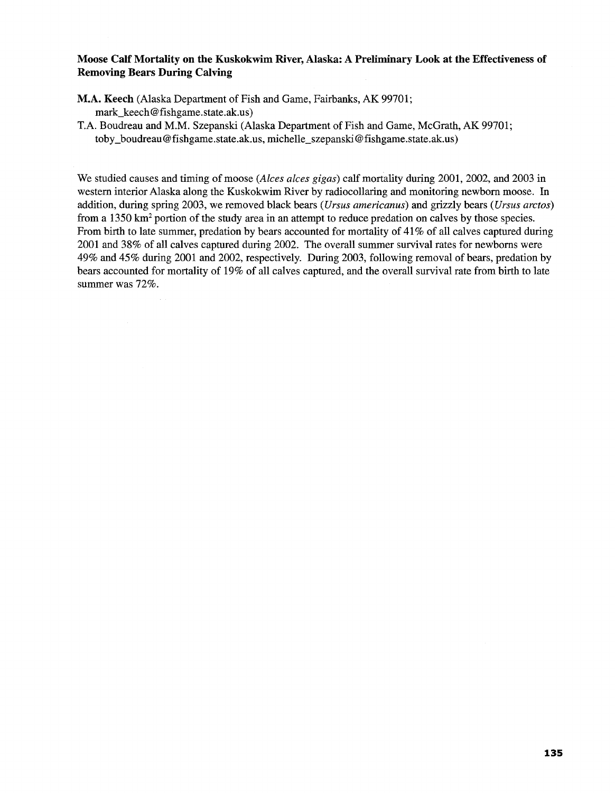## **Moose Calf Mortality on the Kuskokwim River, Alaska: A Preliminary Look at the Effectiveness of Removing Bears During Calving**

- M.A. Keech (Alaska Department of Fish and Game, Fairbanks, AK 99701; mark\_keech@ fishgame.state.ak.us)
- T.A. Boudreau and M.M. Szepanski (Alaska Department of Fish and Game, McGrath, AK 99701; toby \_boudreau@ fishgame.state.ak. us, michelle\_szepanski@ fishgame.state.ak.us)

We studied causes and timing of moose *(Alces alces gigas)* calf mortality during 2001, 2002, and 2003 in western interior Alaska along the Kuskokwim River by radiocollaring and monitoring newborn moose. In addition, during spring 2003, we removed black bears *(Ursus americanus)* and grizzly bears *(Ursus arctos)*  from a 1350 km2 portion of the study area in an attempt to reduce predation on calves by those species. From birth to late summer, predation by bears accounted for mortality of 41% of all calves captured during 2001 and 38% of all calves captured during 2002. The overall summer survival rates for newborns were 49% and 45% during 2001 and 2002, respectively. During 2003, following removal of bears, predation by bears accounted for mortality of 19% of all calves captured, and the overall survival rate from birth to late summer was 72%.